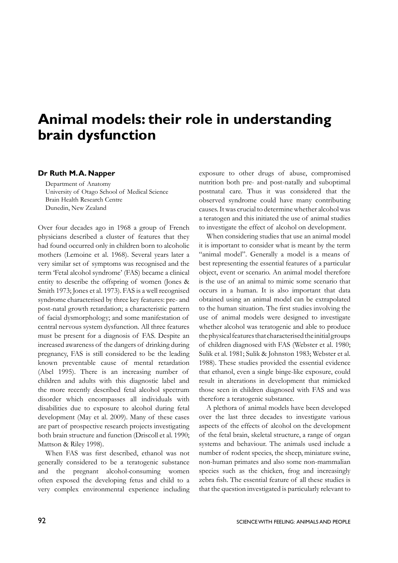# **Animal models: their role in understanding brain dysfunction**

#### **Dr Ruth M. A. Napper**

Department of Anatomy University of Otago School of Medical Science Brain Health Research Centre Dunedin, New Zealand

Over four decades ago in 1968 a group of French physicians described a cluster of features that they had found occurred only in children born to alcoholic mothers (Lemoine et al. 1968). Several years later a very similar set of symptoms was recognised and the term 'Fetal alcohol syndrome' (FAS) became a clinical entity to describe the offspring of women (Jones & Smith 1973; Jones et al. 1973). FAS is a well recognised syndrome characterised by three key features: pre- and post-natal growth retardation; a characteristic pattern of facial dysmorphology; and some manifestation of central nervous system dysfunction. All three features must be present for a diagnosis of FAS. Despite an increased awareness of the dangers of drinking during pregnancy, FAS is still considered to be the leading known preventable cause of mental retardation (Abel 1995). There is an increasing number of children and adults with this diagnostic label and the more recently described fetal alcohol spectrum disorder which encompasses all individuals with disabilities due to exposure to alcohol during fetal development (May et al. 2009). Many of these cases are part of prospective research projects investigating both brain structure and function (Driscoll et al. 1990; Mattson & Riley 1998).

 When FAS was first described, ethanol was not generally considered to be a teratogenic substance and the pregnant alcohol-consuming women often exposed the developing fetus and child to a very complex environmental experience including exposure to other drugs of abuse, compromised nutrition both pre- and post-natally and suboptimal postnatal care. Thus it was considered that the observed syndrome could have many contributing causes. It was crucial to determine whether alcohol was a teratogen and this initiated the use of animal studies to investigate the effect of alcohol on development.

When considering studies that use an animal model it is important to consider what is meant by the term "animal model". Generally a model is a means of best representing the essential features of a particular object, event or scenario. An animal model therefore is the use of an animal to mimic some scenario that occurs in a human. It is also important that data obtained using an animal model can be extrapolated to the human situation. The first studies involving the use of animal models were designed to investigate whether alcohol was teratogenic and able to produce the physical features that characterised the initial groups of children diagnosed with FAS (Webster et al. 1980; Sulik et al. 1981; Sulik & Johnston 1983; Webster et al. 1988). These studies provided the essential evidence that ethanol, even a single binge-like exposure, could result in alterations in development that mimicked those seen in children diagnosed with FAS and was therefore a teratogenic substance.

A plethora of animal models have been developed over the last three decades to investigate various aspects of the effects of alcohol on the development of the fetal brain, skeletal structure, a range of organ systems and behaviour. The animals used include a number of rodent species, the sheep, miniature swine, non-human primates and also some non-mammalian species such as the chicken, frog and increasingly zebra fish. The essential feature of all these studies is that the question investigated is particularly relevant to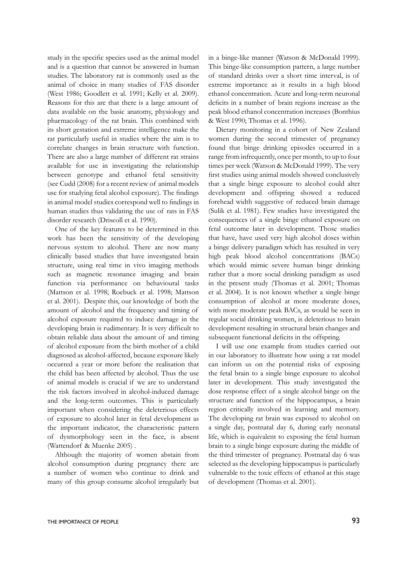study in the specific species used as the animal model and is a question that cannot be answered in human studies. The laboratory rat is commonly used as the animal of choice in many studies of FAS disorder (West 1986; Goodlett et al. 1991; Kelly et al. 2009). Reasons for this are that there is a large amount of data available on the basic anatomy, physiology and pharmacology of the rat brain. This combined with its short gestation and extreme intelligence make the rat particularly useful in studies where the aim is to correlate changes in brain structure with function. There are also a large number of different rat strains available for use in investigating the relationship between genotype and ethanol fetal sensitivity (see Cudd (2008) for a recent review of animal models use for studying fetal alcohol exposure). The findings in animal model studies correspond well to findings in human studies thus validating the use of rats in FAS disorder research (Driscoll et al. 1990).

One of the key features to be determined in this work has been the sensitivity of the developing nervous system to alcohol. There are now many clinically based studies that have investigated brain structure, using real time in vivo imaging methods such as magnetic resonance imaging and brain function via performance on behavioural tasks (Mattson et al. 1998; Roebuck et al. 1998; Mattson et al. 2001). Despite this, our knowledge of both the amount of alcohol and the frequency and timing of alcohol exposure required to induce damage in the developing brain is rudimentary. It is very difficult to obtain reliable data about the amount of and timing of alcohol exposure from the birth mother of a child diagnosed as alcohol-affected, because exposure likely occurred a year or more before the realisation that the child has been affected by alcohol. Thus the use of animal models is crucial if we are to understand the risk factors involved in alcohol-induced damage and the long-term outcomes. This is particularly important when considering the deleterious effects of exposure to alcohol later in fetal development as the important indicator, the characteristic pattern of dysmorphology seen in the face, is absent (Wattendorf & Muenke 2005) .

Although the majority of women abstain from alcohol consumption during pregnancy there are a number of women who continue to drink and many of this group consume alcohol irregularly but in a binge-like manner (Watson & McDonald 1999). This binge-like consumption pattern, a large number of standard drinks over a short time interval, is of extreme importance as it results in a high blood ethanol concentration. Acute and long-term neuronal deficits in a number of brain regions increase as the peak blood ethanol concentration increases (Bonthius & West 1990; Thomas et al. 1996).

Dietary monitoring in a cohort of New Zealand women during the second trimester of pregnancy found that binge drinking episodes occurred in a range from infrequently, once per month, to up to four times per week (Watson & McDonald 1999). The very first studies using animal models showed conclusively that a single binge exposure to alcohol could alter development and offspring showed a reduced forehead width suggestive of reduced brain damage (Sulik et al. 1981). Few studies have investigated the consequences of a single binge ethanol exposure on fetal outcome later in development. Those studies that have, have used very high alcohol doses within a binge delivery paradigm which has resulted in very high peak blood alcohol concentrations (BACs) which would mimic severe human binge drinking rather that a more social drinking paradigm as used in the present study (Thomas et al. 2001; Thomas et al. 2004). It is not known whether a single binge consumption of alcohol at more moderate doses, with more moderate peak BACs, as would be seen in regular social drinking women, is deleterious to brain development resulting in structural brain changes and subsequent functional deficits in the offspring.

I will use one example from studies carried out in our laboratory to illustrate how using a rat model can inform us on the potential risks of exposing the fetal brain to a single binge exposure to alcohol later in development. This study investigated the dose response effect of a single alcohol binge on the structure and function of the hippocampus, a brain region critically involved in learning and memory. The developing rat brain was exposed to alcohol on a single day, postnatal day 6, during early neonatal life, which is equivalent to exposing the fetal human brain to a single binge exposure during the middle of the third trimester of pregnancy. Postnatal day 6 was selected as the developing hippocampus is particularly vulnerable to the toxic effects of ethanol at this stage of development (Thomas et al. 2001).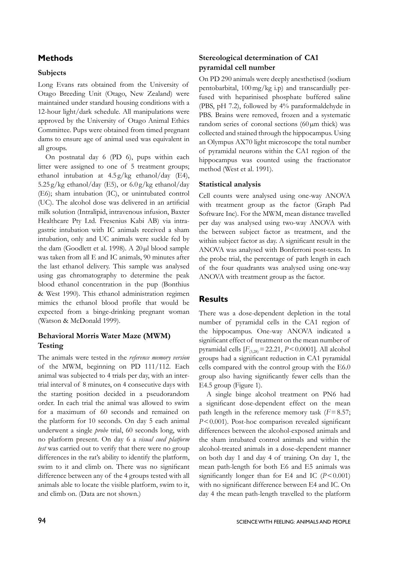# **Methods**

#### **Subjects**

Long Evans rats obtained from the University of Otago Breeding Unit (Otago, New Zealand) were maintained under standard housing conditions with a 12-hour light/dark schedule. All manipulations were approved by the University of Otago Animal Ethics Committee. Pups were obtained from timed pregnant dams to ensure age of animal used was equivalent in all groups.

On postnatal day 6 (PD 6), pups within each litter were assigned to one of 5 treatment groups; ethanol intubation at 4.5 g/kg ethanol/day (E4),  $5.25 \text{ g/kg}$  ethanol/day (E5), or  $6.0 \text{ g/kg}$  ethanol/day (E6); sham intubation (IC), or unintubated control (UC). The alcohol dose was delivered in an artificial milk solution (Intralipid, intravenous infusion, Baxter Healthcare Pty Ltd. Fresenius Kabi AB) via intragastric intubation with IC animals received a sham intubation, only and UC animals were suckle fed by the dam (Goodlett et al. 1998). A 20 µl blood sample was taken from all E and IC animals, 90 minutes after the last ethanol delivery. This sample was analysed using gas chromatography to determine the peak blood ethanol concentration in the pup (Bonthius & West 1990). This ethanol administration regimen mimics the ethanol blood profile that would be expected from a binge-drinking pregnant woman (Watson & McDonald 1999).

## **Behavioral Morris Water Maze (MWM) Testing**

The animals were tested in the *reference memory version* of the MWM, beginning on PD 111/112. Each animal was subjected to 4 trials per day, with an intertrial interval of 8 minutes, on 4 consecutive days with the starting position decided in a pseudorandom order. In each trial the animal was allowed to swim for a maximum of 60 seconds and remained on the platform for 10 seconds. On day 5 each animal underwent a single *probe* trial, 60 seconds long, with no platform present. On day 6 a *visual cued platform test* was carried out to verify that there were no group differences in the rat's ability to identify the platform, swim to it and climb on. There was no significant difference between any of the 4 groups tested with all animals able to locate the visible platform, swim to it, and climb on. (Data are not shown.)

## **Stereological determination of CA1 pyramidal cell number**

On PD 290 animals were deeply anesthetised (sodium pentobarbital, 100mg/kg i.p) and transcardially perfused with heparinised phosphate buffered saline (PBS, pH 7.2), followed by 4% paraformaldehyde in PBS. Brains were removed, frozen and a systematic random series of coronal sections (60µm thick) was collected and stained through the hippocampus. Using an Olympus AX70 light microscope the total number of pyramidal neurons within the CA1 region of the hippocampus was counted using the fractionator method (West et al. 1991).

#### **Statistical analysis**

Cell counts were analysed using one-way ANOVA with treatment group as the factor (Graph Pad Software Inc). For the MWM, mean distance travelled per day was analysed using two-way ANOVA with the between subject factor as treatment, and the within subject factor as day. A significant result in the ANOVA was analysed with Bonferroni post-tests. In the probe trial, the percentage of path length in each of the four quadrants was analysed using one-way ANOVA with treatment group as the factor.

# **Results**

There was a dose-dependent depletion in the total number of pyramidal cells in the CA1 region of the hippocampus. One-way ANOVA indicated a significant effect of treatment on the mean number of pyramidal cells  $[F_{(3,28)} = 22.21, P \le 0.0001]$ . All alcohol groups had a significant reduction in CA1 pyramidal cells compared with the control group with the E6.0 group also having significantly fewer cells than the E4.5 group (Figure 1).

A single binge alcohol treatment on PN6 had a significant dose-dependent effect on the mean path length in the reference memory task  $(F=8.57;$ *P*<0.001). Post-hoc comparison revealed significant differences between the alcohol-exposed animals and the sham intubated control animals and within the alcohol-treated animals in a dose-dependent manner on both day 1 and day 4 of training. On day 1, the mean path-length for both E6 and E5 animals was significantly longer than for E4 and IC  $(P < 0.001)$ with no significant difference between E4 and IC. On day 4 the mean path-length travelled to the platform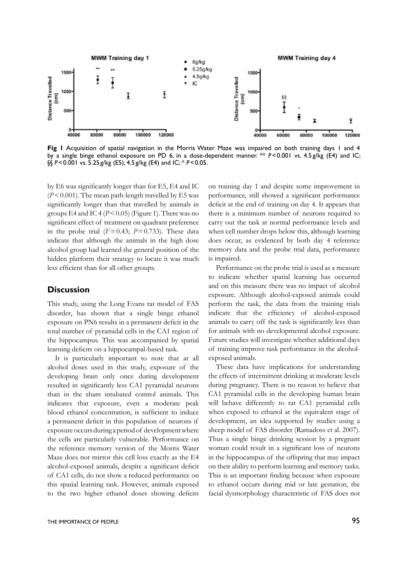

**Fig 1** Acquisition of spatial navigation in the Morris Water Maze was impaired on both training days 1 and 4 by a single binge ethanol exposure on PD 6, in a dose-dependent manner. \*\* *P*<0.001 vs. 4.5g/kg (E4) and IC; §§ *P*<0.001 vs. 5.25 g/kg (E5), 4.5 g/kg (E4) and IC; \* *P*<0.05.

by E6 was significantly longer than for E5, E4 and IC  $(P<0.001)$ . The mean path-length travelled by E5 was significantly longer than that travelled by animals in groups E4 and IC 4 ( $P < 0.05$ ) (Figure 1). There was no significant effect of treatment on quadrant preference in the probe trial  $(F=0.43; P=0.733)$ . These data indicate that although the animals in the high dose alcohol group had learned the general position of the hidden platform their strategy to locate it was much less efficient than for all other groups.

#### **Discussion**

This study, using the Long Evans rat model of FAS disorder, has shown that a single binge ethanol exposure on PN6 results in a permanent deficit in the total number of pyramidal cells in the CA1 region of the hippocampus. This was accompanied by spatial learning deficits on a hippocampal-based task.

It is particularly important to note that at all alcohol doses used in this study, exposure of the developing brain only once during development resulted in significantly less CA1 pyramidal neurons than in the sham intubated control animals. This indicates that exposure, even a moderate peak blood ethanol concentration, is sufficient to induce a permanent deficit in this population of neurons if exposure occurs during a period of development where the cells are particularly vulnerable. Performance on the reference memory version of the Morris Water Maze does not mirror this cell loss exactly as the E4 alcohol-exposed animals, despite a significant deficit of CA1 cells, do not show a reduced performance on this spatial learning task. However, animals exposed to the two higher ethanol doses showing deficits on training day 1 and despite some improvement in performance, still showed a significant performance deficit at the end of training on day 4. It appears that there is a minimum number of neurons required to carry out the task at normal performance levels and when cell number drops below this, although learning does occur, as evidenced by both day 4 reference memory data and the probe trial data, performance is impaired.

Performance on the probe trial is used as a measure to indicate whether spatial learning has occurred and on this measure there was no impact of alcohol exposure. Although alcohol-exposed animals could perform the task, the data from the training trials indicate that the efficiency of alcohol-exposed animals to carry off the task is significantly less than for animals with no developmental alcohol exposure. Future studies will investigate whether additional days of training improve task performance in the alcoholexposed animals.

These data have implications for understanding the effects of intermittent drinking at moderate levels during pregnancy. There is no reason to believe that CA1 pyramidal cells in the developing human brain will behave differently to rat CA1 pyramidal cells when exposed to ethanol at the equivalent stage of development, an idea supported by studies using a sheep model of FAS disorder (Ramadoss et al. 2007). Thus a single binge drinking session by a pregnant woman could result in a significant loss of neurons in the hippocampus of the offspring that may impact on their ability to perform learning and memory tasks. This is an important finding because when exposure to ethanol occurs during mid or late gestation, the facial dysmorphology characteristic of FAS does not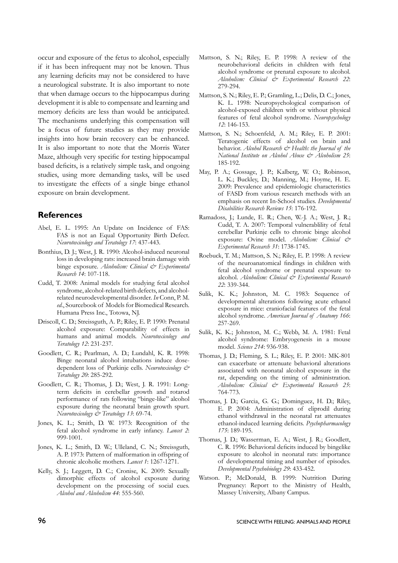occur and exposure of the fetus to alcohol, especially if it has been infrequent may not be known. Thus any learning deficits may not be considered to have a neurological substrate. It is also important to note that when damage occurs to the hippocampus during development it is able to compensate and learning and memory deficits are less than would be anticipated. The mechanisms underlying this compensation will be a focus of future studies as they may provide insights into how brain recovery can be enhanced. It is also important to note that the Morris Water Maze, although very specific for testing hippocampal based deficits, is a relatively simple task, and ongoing studies, using more demanding tasks, will be used to investigate the effects of a single binge ethanol exposure on brain development.

## **References**

- Abel, E. L. 1995: An Update on Incidence of FAS: FAS is not an Equal Opportunity Birth Defect. *Neurotoxicology and Teratology 17*: 437-443.
- Bonthius, D. J.; West, J. R. 1990: Alcohol-induced neuronal loss in developing rats: increased brain damage with binge exposure. *Alcoholism: Clinical & Experimental Research 14*: 107-118.
- Cudd, T. 2008: Animal models for studying fetal alcohol syndrome, alcohol-related birth defects, and alcoholrelated neurodevelopmental disorder. *In* Conn, P. M. *ed*., Sourcebook of Models for Biomedical Research*.*  Humana Press Inc., Totowa, NJ.
- Driscoll, C. D.; Streissguth, A. P.; Riley, E. P. 1990: Prenatal alcohol exposure: Comparability of effects in humans and animal models. *Neurotoxicology and Teratology 12*: 231-237.
- Goodlett, C. R.; Pearlman, A. D.; Lundahl, K. R. 1998: Binge neonatal alcohol intubations induce dosedependent loss of Purkinje cells. *Neurotoxicology & Teratology 20*: 285-292.
- Goodlett, C. R.; Thomas, J. D.; West, J. R. 1991: Longterm deficits in cerebellar growth and rotarod performance of rats following "binge-like" alcohol exposure during the neonatal brain growth spurt. *Neurotoxicology & Teratology 13*: 69-74.
- Jones, K. L.; Smith, D. W. 1973: Recognition of the fetal alcohol syndrome in early infancy. *Lancet 2*: 999-1001.
- Jones, K. L.; Smith, D. W.; Ulleland, C. N.; Streissguth, A. P. 1973: Pattern of malformation in offspring of chronic alcoholic mothers. *Lancet 1*: 1267-1271.
- Kelly, S. J.; Leggett, D. C.; Cronise, K. 2009: Sexually dimorphic effects of alcohol exposure during development on the processing of social cues. *Alcohol and Alcoholism 44*: 555-560.
- Mattson, S. N.; Riley, E. P. 1998: A review of the neurobehavioral deficits in children with fetal alcohol syndrome or prenatal exposure to alcohol. *Alcoholism: Clinical & Experimental Research 22*: 279-294.
- Mattson, S. N.; Riley, E. P.; Gramling, L.; Delis, D. C.; Jones, K. L. 1998: Neuropsychological comparison of alcohol-exposed children with or without physical features of fetal alcohol syndrome. *Neuropsychology 12*: 146-153.
- Mattson, S. N.; Schoenfeld, A. M.; Riley, E. P. 2001: Teratogenic effects of alcohol on brain and behavior. *Alcohol Research*  $\mathcal{Q}$ *<sup>\*</sup>* Health: the Journal of the *National Institute on Alcohol Abuse & Alcoholism 25*: 185-192.
- May, P. A.; Gossage, J. P.; Kalberg, W. O.; Robinson, L. K.; Buckley, D.; Manning, M.; Hoyme, H. E. 2009: Prevalence and epidemiologic characteristics of FASD from various research methods with an emphasis on recent In-School studies. *Developmental Disabilities Research Reviews 15*: 176-192.
- Ramadoss, J.; Lunde, E. R.; Chen, W.-J. A.; West, J. R.; Cudd, T. A. 2007: Temporal vulnerablility of fetal cerebellar Purkinje cells to chronic binge alcohol exposure: Ovine model. *Alcoholism: Clinical & Experimental Research 31*: 1738-1745.
- Roebuck, T. M.; Mattson, S. N.; Riley, E. P. 1998: A review of the neuroanatomical findings in children with fetal alcohol syndrome or prenatal exposure to alcohol. *Alcoholism: Clinical & Experimental Research 22*: 339-344.
- Sulik, K. K.; Johnston, M. C. 1983: Sequence of developmental alterations following acute ethanol exposure in mice: craniofacial features of the fetal alcohol syndrome. *American Journal of Anatomy 166*: 257-269.
- Sulik, K. K.; Johnston, M. C.; Webb, M. A. 1981: Fetal alcohol syndrome: Embryogenesis in a mouse model. *Science 214*: 936-938.
- Thomas, J. D.; Fleming, S. L.; Riley, E. P. 2001: MK-801 can exacerbate or attenuate behavioral alterations associated with neonatal alcohol exposure in the rat, depending on the timing of administration. *Alcoholism: Clinical & Experimental Research 25*: 764-773.
- Thomas, J. D.; Garcia, G. G.; Dominguez, H. D.; Riley, E. P. 2004: Administration of eliprodil during ethanol withdrawal in the neonatal rat attenuates ethanol-induced learning deficits. *Psychopharmacology 175*: 189-195.
- Thomas, J. D.; Wasserman, E. A.; West, J. R.; Goodlett, C. R. 1996: Behavioral deficits induced by bingelike exposure to alcohol in neonatal rats: importance of developmental timing and number of episodes. *Developmental Psychobiology 29*: 433-452.
- Watson. P.; McDonald, B. 1999: Nutrition During Pregnancy: Report to the Ministry of Health, Massey University, Albany Campus.